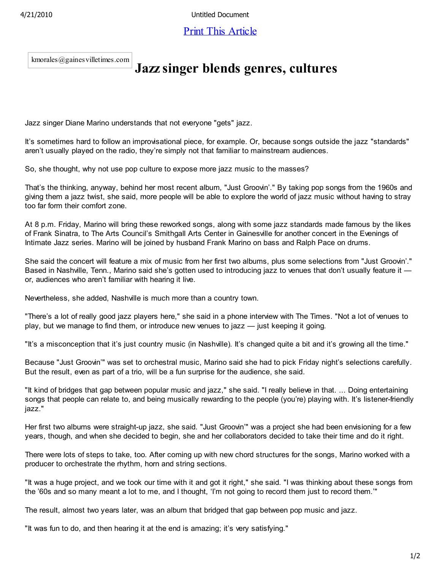4/21/2010 Untitled Document

## Print This Article

kmorales@gainesvilletimes.com

## **Jazz singer blends genres, cultures**

Jazz singer Diane Marino understands that not everyone "gets" jazz.

It's sometimes hard to follow an improvisational piece, for example. Or, because songs outside the jazz "standards" aren't usually played on the radio, they're simply not that familiar to mainstream audiences.

So, she thought, why not use pop culture to expose more jazz music to the masses?

That's the thinking, anyway, behind her most recent album, "Just Groovin'." By taking pop songs from the 1960s and giving them a jazz twist, she said, more people will be able to explore the world of jazz music without having to stray too far form their comfort zone.

At 8 p.m. Friday, Marino will bring these reworked songs, along with some jazz standards made famous by the likes of Frank Sinatra, to The Arts Council's Smithgall Arts Center in Gainesville for another concert in the Evenings of Intimate Jazz series. Marino will be joined by husband Frank Marino on bass and Ralph Pace on drums.

She said the concert will feature a mix of music from her first two albums, plus some selections from "Just Groovin'." Based in Nashville, Tenn., Marino said she's gotten used to introducing jazz to venues that don't usually feature it or, audiences who aren't familiar with hearing it live.

Nevertheless, she added, Nashville is much more than a country town.

"There's a lot of really good jazz players here," she said in a phone interview with The Times. "Not a lot of venues to play, but we manage to find them, or introduce new venues to jazz — just keeping it going.

"It's a misconception that it's just country music (in Nashville). It's changed quite a bit and it's growing all the time."

Because "Just Groovin'" was set to orchestral music, Marino said she had to pick Friday night's selections carefully. But the result, even as part of a trio, will be a fun surprise for the audience, she said.

"It kind of bridges that gap between popular music and jazz," she said. "I really believe in that. ... Doing entertaining songs that people can relate to, and being musically rewarding to the people (you're) playing with. It's listener-friendly jazz."

Her first two albums were straight-up jazz, she said. "Just Groovin'" was a project she had been envisioning for a few years, though, and when she decided to begin, she and her collaborators decided to take their time and do it right.

There were lots of steps to take, too. After coming up with new chord structures for the songs, Marino worked with a producer to orchestrate the rhythm, horn and string sections.

"It was a huge project, and we took our time with it and got it right," she said. "I was thinking about these songs from the '60s and so many meant a lot to me, and I thought, 'I'm not going to record them just to record them.'"

The result, almost two years later, was an album that bridged that gap between pop music and jazz.

"It was fun to do, and then hearing it at the end is amazing; it's very satisfying."